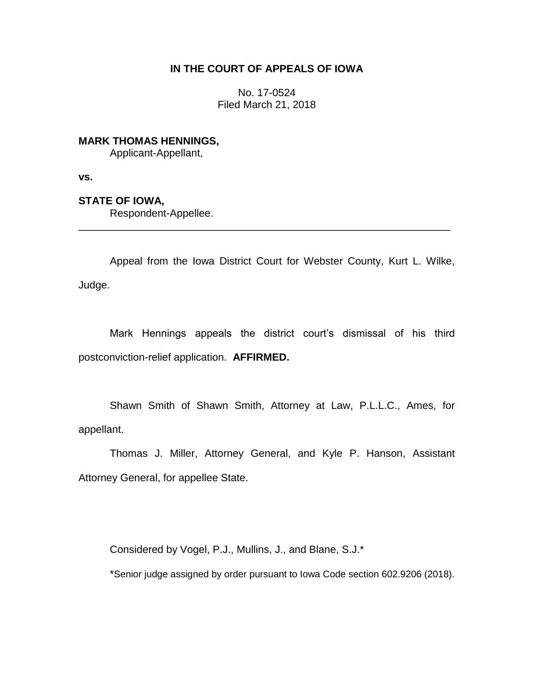## **IN THE COURT OF APPEALS OF IOWA**

No. 17-0524 Filed March 21, 2018

**MARK THOMAS HENNINGS,** Applicant-Appellant,

**vs.**

**STATE OF IOWA,**

Respondent-Appellee.

Appeal from the Iowa District Court for Webster County, Kurt L. Wilke, Judge.

\_\_\_\_\_\_\_\_\_\_\_\_\_\_\_\_\_\_\_\_\_\_\_\_\_\_\_\_\_\_\_\_\_\_\_\_\_\_\_\_\_\_\_\_\_\_\_\_\_\_\_\_\_\_\_\_\_\_\_\_\_\_\_\_

Mark Hennings appeals the district court's dismissal of his third postconviction-relief application. **AFFIRMED.** 

Shawn Smith of Shawn Smith, Attorney at Law, P.L.L.C., Ames, for appellant.

Thomas J. Miller, Attorney General, and Kyle P. Hanson, Assistant Attorney General, for appellee State.

Considered by Vogel, P.J., Mullins, J., and Blane, S.J.\*

\*Senior judge assigned by order pursuant to Iowa Code section 602.9206 (2018).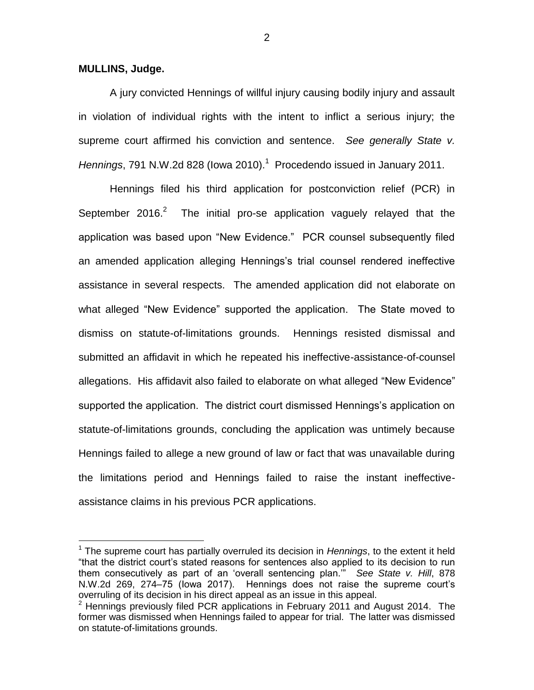**MULLINS, Judge.**

 $\overline{a}$ 

A jury convicted Hennings of willful injury causing bodily injury and assault in violation of individual rights with the intent to inflict a serious injury; the supreme court affirmed his conviction and sentence. *See generally State v.*  Hennings, 791 N.W.2d 828 (lowa 2010).<sup>1</sup> Procedendo issued in January 2011.

Hennings filed his third application for postconviction relief (PCR) in September 2016. $^{2}$  The initial pro-se application vaguely relayed that the application was based upon "New Evidence." PCR counsel subsequently filed an amended application alleging Hennings's trial counsel rendered ineffective assistance in several respects. The amended application did not elaborate on what alleged "New Evidence" supported the application. The State moved to dismiss on statute-of-limitations grounds. Hennings resisted dismissal and submitted an affidavit in which he repeated his ineffective-assistance-of-counsel allegations. His affidavit also failed to elaborate on what alleged "New Evidence" supported the application. The district court dismissed Hennings's application on statute-of-limitations grounds, concluding the application was untimely because Hennings failed to allege a new ground of law or fact that was unavailable during the limitations period and Hennings failed to raise the instant ineffectiveassistance claims in his previous PCR applications.

2

<sup>1</sup> The supreme court has partially overruled its decision in *Hennings*, to the extent it held "that the district court's stated reasons for sentences also applied to its decision to run them consecutively as part of an 'overall sentencing plan.'" *See State v. Hill*, 878 N.W.2d 269, 274–75 (Iowa 2017). Hennings does not raise the supreme court's overruling of its decision in his direct appeal as an issue in this appeal.

 $2$  Hennings previously filed PCR applications in February 2011 and August 2014. The former was dismissed when Hennings failed to appear for trial. The latter was dismissed on statute-of-limitations grounds.